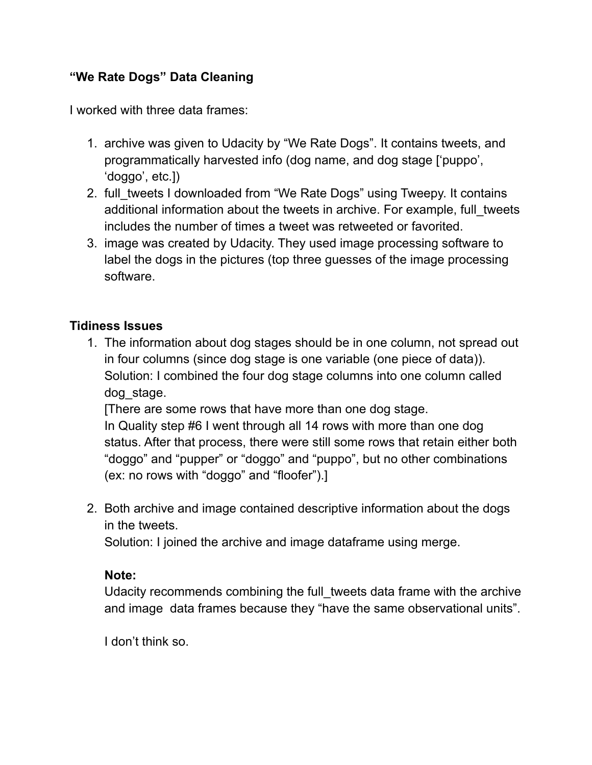## **"We Rate Dogs" Data Cleaning**

I worked with three data frames:

- 1. archive was given to Udacity by "We Rate Dogs". It contains tweets, and programmatically harvested info (dog name, and dog stage ['puppo', 'doggo', etc.])
- 2. full\_tweets I downloaded from "We Rate Dogs" using Tweepy. It contains additional information about the tweets in archive. For example, full tweets includes the number of times a tweet was retweeted or favorited.
- 3. image was created by Udacity. They used image processing software to label the dogs in the pictures (top three guesses of the image processing software.

## **Tidiness Issues**

1. The information about dog stages should be in one column, not spread out in four columns (since dog stage is one variable (one piece of data)). Solution: I combined the four dog stage columns into one column called dog\_stage.

[There are some rows that have more than one dog stage.

In Quality step #6 I went through all 14 rows with more than one dog status. After that process, there were still some rows that retain either both "doggo" and "pupper" or "doggo" and "puppo", but no other combinations (ex: no rows with "doggo" and "floofer").]

2. Both archive and image contained descriptive information about the dogs in the tweets.

Solution: I joined the archive and image dataframe using merge.

## **Note:**

Udacity recommends combining the full tweets data frame with the archive and image data frames because they "have the same observational units".

I don't think so.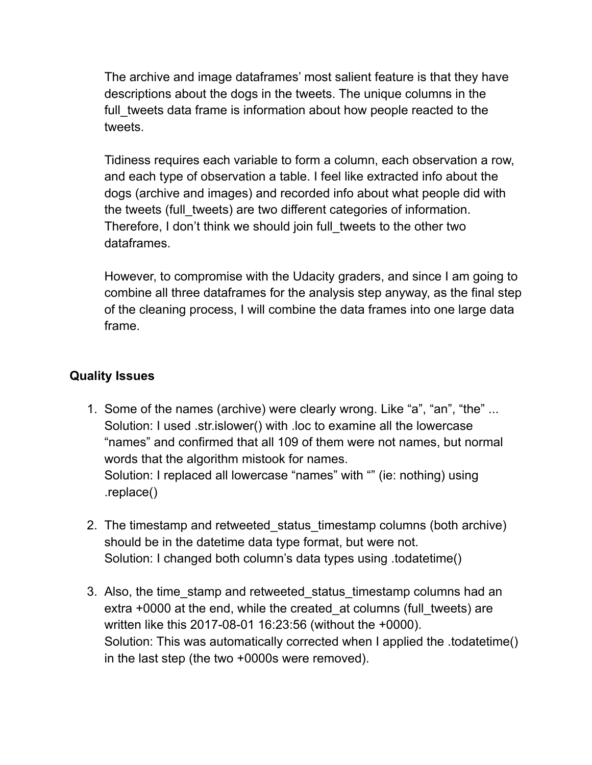The archive and image dataframes' most salient feature is that they have descriptions about the dogs in the tweets. The unique columns in the full tweets data frame is information about how people reacted to the tweets.

Tidiness requires each variable to form a column, each observation a row, and each type of observation a table. I feel like extracted info about the dogs (archive and images) and recorded info about what people did with the tweets (full tweets) are two different categories of information. Therefore, I don't think we should join full\_tweets to the other two dataframes.

However, to compromise with the Udacity graders, and since I am going to combine all three dataframes for the analysis step anyway, as the final step of the cleaning process, I will combine the data frames into one large data frame.

## **Quality Issues**

- 1. Some of the names (archive) were clearly wrong. Like "a", "an", "the" ... Solution: I used .str.islower() with .loc to examine all the lowercase "names" and confirmed that all 109 of them were not names, but normal words that the algorithm mistook for names. Solution: I replaced all lowercase "names" with "" (ie: nothing) using .replace()
- 2. The timestamp and retweeted status timestamp columns (both archive) should be in the datetime data type format, but were not. Solution: I changed both column's data types using .todatetime()
- 3. Also, the time stamp and retweeted status timestamp columns had an extra +0000 at the end, while the created at columns (full tweets) are written like this 2017-08-01 16:23:56 (without the +0000). Solution: This was automatically corrected when I applied the .todatetime() in the last step (the two +0000s were removed).